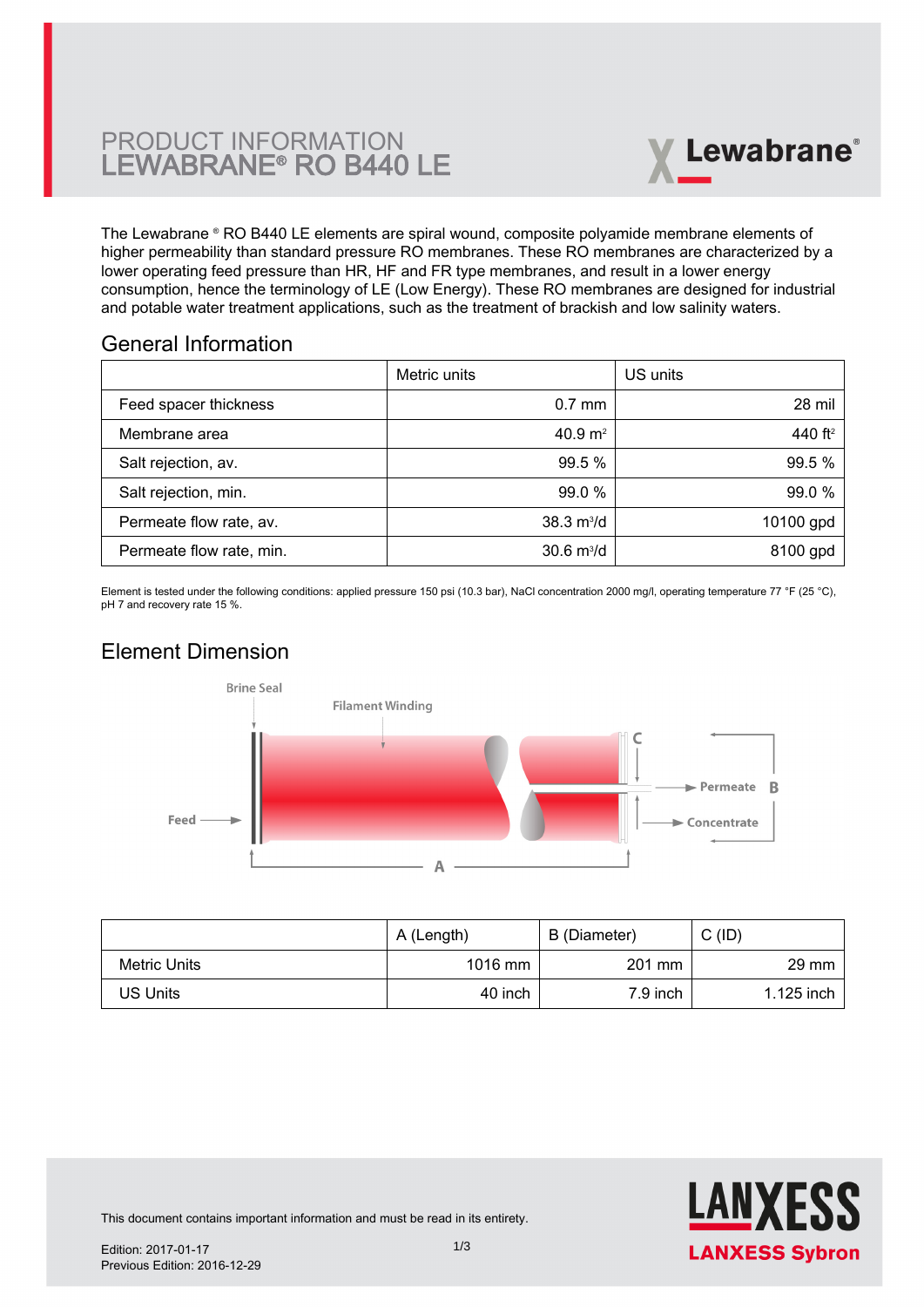# PRODUCT INFORMATION LEWABRANE® RO B440 LE



The Lewabrane ® RO B440 LE elements are spiral wound, composite polyamide membrane elements of higher permeability than standard pressure RO membranes. These RO membranes are characterized by a lower operating feed pressure than HR, HF and FR type membranes, and result in a lower energy [consumption, hence the terminology of LE \(Low Energy\). These RO membranes are designed for industrial](https://www.pureaqua.com/lanxess-lewabrane-b440-le-membrane/) and potable water treatment applications, such as the treatment of brackish and low salinity waters.

## General Information

|                          | Metric units                | US units   |
|--------------------------|-----------------------------|------------|
| Feed spacer thickness    | $0.7$ mm                    | 28 mil     |
| Membrane area            | 40.9 $m2$                   | 440 $ft^2$ |
| Salt rejection, av.      | 99.5 %                      | 99.5 %     |
| Salt rejection, min.     | 99.0 %                      | 99.0 %     |
| Permeate flow rate, av.  | $38.3 \text{ m}^3/\text{d}$ | 10100 gpd  |
| Permeate flow rate, min. | $30.6 \text{ m}^3/\text{d}$ | 8100 gpd   |

Element is tested under the following conditions: applied pressure 150 psi (10.3 bar), NaCl concentration 2000 mg/l, operating temperature 77 °F (25 °C), pH 7 and recovery rate 15 %.

# Element Dimension



|              | A (Length) | B (Diameter) | C (ID)          |
|--------------|------------|--------------|-----------------|
| Metric Units | 1016 mm    | 201 mm       | $29 \text{ mm}$ |
| US Units     | 40 inch    | 7.9 inch     | 1.125 inch      |



This document contains important information and must be read in its entirety.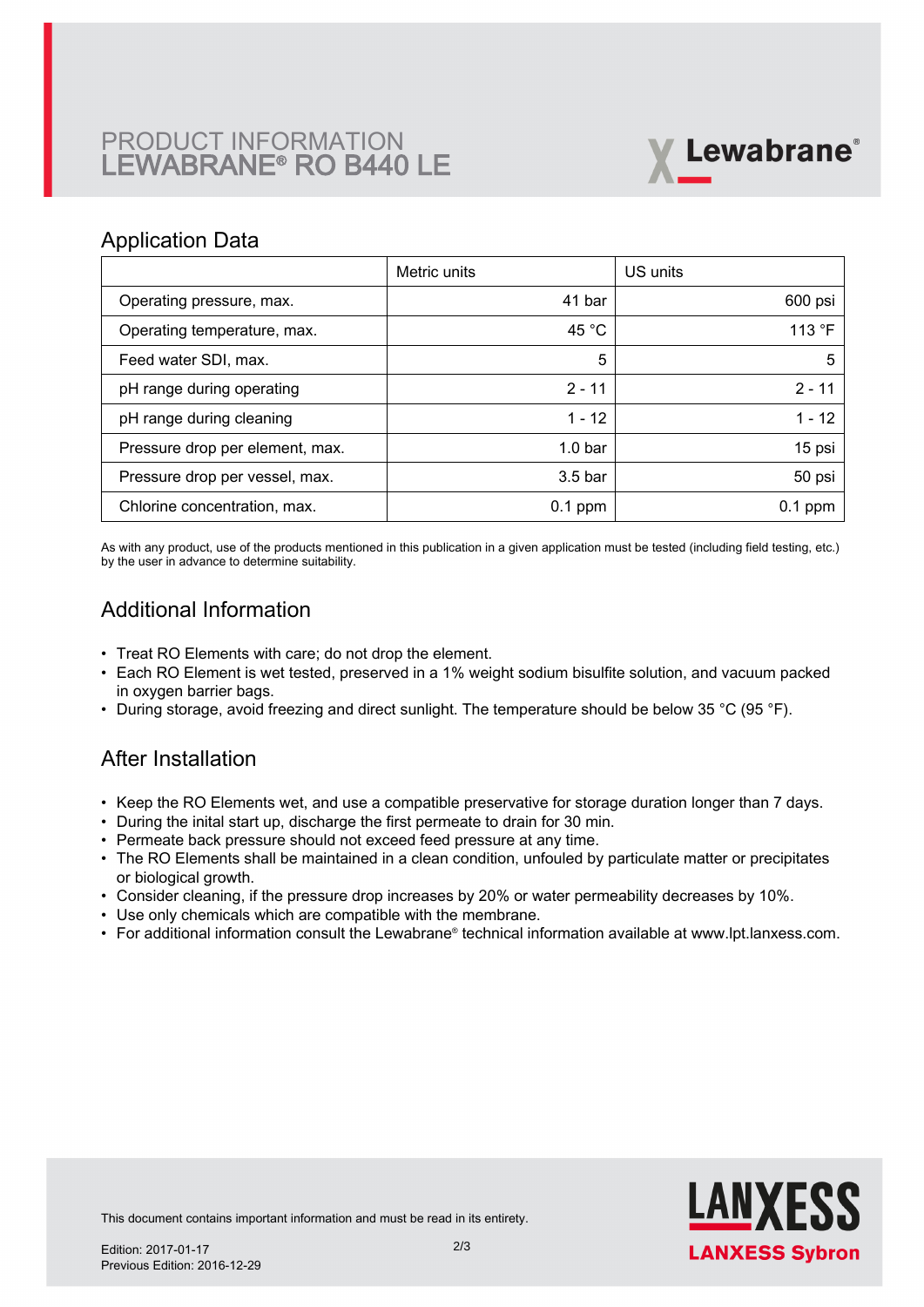# PRODUCT INFORMATION LEWABRANE® RO B440 LE



### Application Data

|                                 | Metric units       | US units  |
|---------------------------------|--------------------|-----------|
| Operating pressure, max.        | 41 bar             | 600 psi   |
| Operating temperature, max.     | 45 $^{\circ}$ C    | 113 °F    |
| Feed water SDI, max.            | 5                  | 5         |
| pH range during operating       | $2 - 11$           | $2 - 11$  |
| pH range during cleaning        | $1 - 12$           | $1 - 12$  |
| Pressure drop per element, max. | 1.0 <sub>bar</sub> | 15 psi    |
| Pressure drop per vessel, max.  | 3.5 <sub>bar</sub> | 50 psi    |
| Chlorine concentration, max.    | $0.1$ ppm          | $0.1$ ppm |

As with any product, use of the products mentioned in this publication in a given application must be tested (including field testing, etc.) by the user in advance to determine suitability.

# Additional Information

- Treat RO Elements with care; do not drop the element.
- Each RO Element is wet tested, preserved in a 1% weight sodium bisulfite solution, and vacuum packed in oxygen barrier bags.
- During storage, avoid freezing and direct sunlight. The temperature should be below 35 °C (95 °F).

## After Installation

- Keep the RO Elements wet, and use a compatible preservative for storage duration longer than 7 days.
- During the inital start up, discharge the first permeate to drain for 30 min.
- Permeate back pressure should not exceed feed pressure at any time.
- The RO Elements shall be maintained in a clean condition, unfouled by particulate matter or precipitates or biological growth.
- Consider cleaning, if the pressure drop increases by 20% or water permeability decreases by 10%.
- Use only chemicals which are compatible with the membrane.
- For additional information consult the Lewabrane® technical information available at www.lpt.lanxess.com.



This document contains important information and must be read in its entirety.